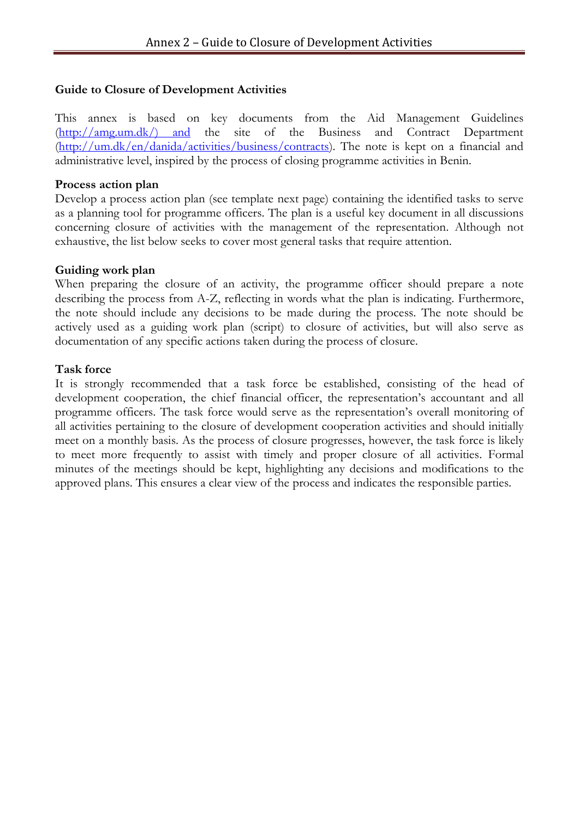## **Guide to Closure of Development Activities**

This annex is based on key documents from the Aid Management Guidelines [\(http://amg.um.dk/\) and](http://amg.um.dk/)%20and) the site of the Business and Contract Department [\(http://um.dk/en/danida/activities/business/contracts\)](http://um.dk/en/danida/activities/business/contracts). The note is kept on a financial and administrative level, inspired by the process of closing programme activities in Benin.

#### **Process action plan**

Develop a process action plan (see template next page) containing the identified tasks to serve as a planning tool for programme officers. The plan is a useful key document in all discussions concerning closure of activities with the management of the representation. Although not exhaustive, the list below seeks to cover most general tasks that require attention.

#### **Guiding work plan**

When preparing the closure of an activity, the programme officer should prepare a note describing the process from A-Z, reflecting in words what the plan is indicating. Furthermore, the note should include any decisions to be made during the process. The note should be actively used as a guiding work plan (script) to closure of activities, but will also serve as documentation of any specific actions taken during the process of closure.

#### **Task force**

It is strongly recommended that a task force be established, consisting of the head of development cooperation, the chief financial officer, the representation's accountant and all programme officers. The task force would serve as the representation's overall monitoring of all activities pertaining to the closure of development cooperation activities and should initially meet on a monthly basis. As the process of closure progresses, however, the task force is likely to meet more frequently to assist with timely and proper closure of all activities. Formal minutes of the meetings should be kept, highlighting any decisions and modifications to the approved plans. This ensures a clear view of the process and indicates the responsible parties.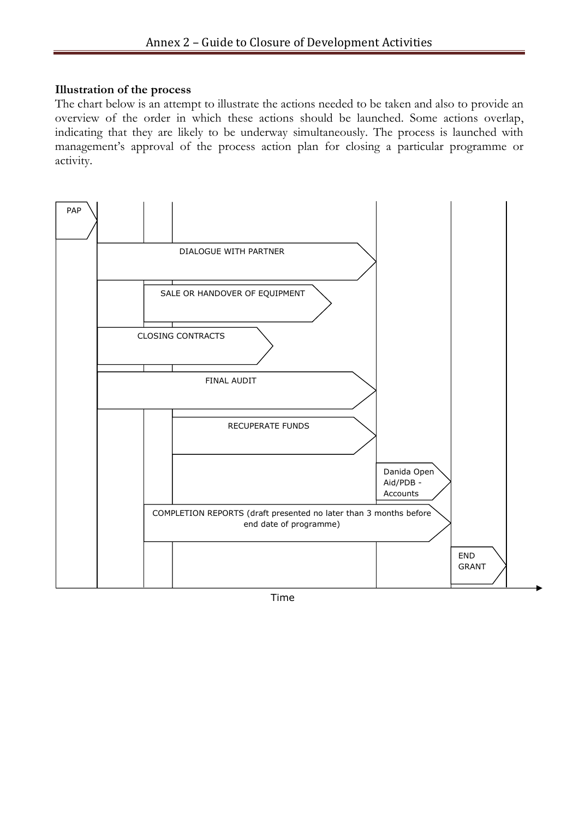#### **Illustration of the process**

The chart below is an attempt to illustrate the actions needed to be taken and also to provide an overview of the order in which these actions should be launched. Some actions overlap, indicating that they are likely to be underway simultaneously. The process is launched with management's approval of the process action plan for closing a particular programme or activity.



Time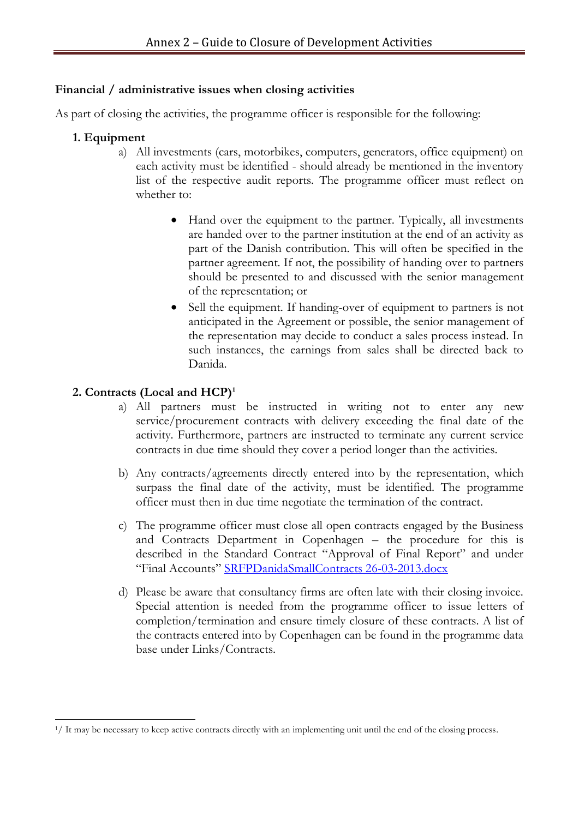### **Financial / administrative issues when closing activities**

As part of closing the activities, the programme officer is responsible for the following:

## **1. Equipment**

- a) All investments (cars, motorbikes, computers, generators, office equipment) on each activity must be identified - should already be mentioned in the inventory list of the respective audit reports. The programme officer must reflect on whether to:
	- Hand over the equipment to the partner. Typically, all investments are handed over to the partner institution at the end of an activity as part of the Danish contribution. This will often be specified in the partner agreement. If not, the possibility of handing over to partners should be presented to and discussed with the senior management of the representation; or
	- Sell the equipment. If handing-over of equipment to partners is not anticipated in the Agreement or possible, the senior management of the representation may decide to conduct a sales process instead. In such instances, the earnings from sales shall be directed back to Danida.

# **2. Contracts (Local and HCP) 1**

- a) All partners must be instructed in writing not to enter any new service/procurement contracts with delivery exceeding the final date of the activity. Furthermore, partners are instructed to terminate any current service contracts in due time should they cover a period longer than the activities.
- b) Any contracts/agreements directly entered into by the representation, which surpass the final date of the activity, must be identified. The programme officer must then in due time negotiate the termination of the contract.
- c) The programme officer must close all open contracts engaged by the Business and Contracts Department in Copenhagen – the procedure for this is described in the Standard Contract "Approval of Final Report" and under "Final Accounts" [SRFPDanidaSmallContracts 26-03-2013.docx](http://intranet/Redskaber/udvpol_redskaber/aidinstruments/Erhvervinstr/Contracts_consult/Newproceduresafter1April2011/_layouts/15/WopiFrame.aspx?sourcedoc=/Redskaber/udvpol_redskaber/aidinstruments/Erhvervinstr/Contracts_consult/Newproceduresafter1April2011/Documents/SRFPDanidaSmallContracts%2026-03-2013.docx&action=default)
- d) Please be aware that consultancy firms are often late with their closing invoice. Special attention is needed from the programme officer to issue letters of completion/termination and ensure timely closure of these contracts. A list of the contracts entered into by Copenhagen can be found in the programme data base under Links/Contracts.

<sup>-</sup> $<sup>1</sup>/$  It may be necessary to keep active contracts directly with an implementing unit until the end of the closing process.</sup>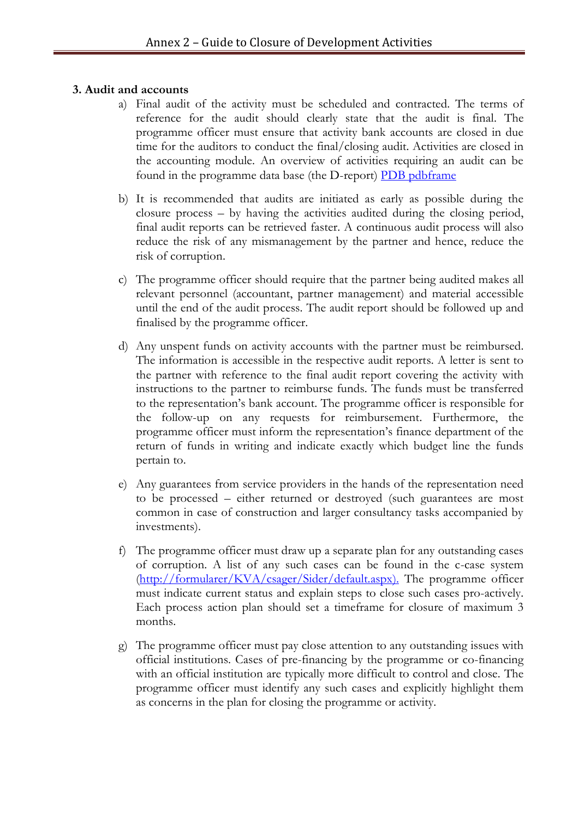### **3. Audit and accounts**

- a) Final audit of the activity must be scheduled and contracted. The terms of reference for the audit should clearly state that the audit is final. The programme officer must ensure that activity bank accounts are closed in due time for the auditors to conduct the final/closing audit. Activities are closed in the accounting module. An overview of activities requiring an audit can be found in the programme data base (the D-report) [PDB pdbframe](http://pdbprod.um.dk/)
- b) It is recommended that audits are initiated as early as possible during the closure process – by having the activities audited during the closing period, final audit reports can be retrieved faster. A continuous audit process will also reduce the risk of any mismanagement by the partner and hence, reduce the risk of corruption.
- c) The programme officer should require that the partner being audited makes all relevant personnel (accountant, partner management) and material accessible until the end of the audit process. The audit report should be followed up and finalised by the programme officer.
- d) Any unspent funds on activity accounts with the partner must be reimbursed. The information is accessible in the respective audit reports. A letter is sent to the partner with reference to the final audit report covering the activity with instructions to the partner to reimburse funds. The funds must be transferred to the representation's bank account. The programme officer is responsible for the follow-up on any requests for reimbursement. Furthermore, the programme officer must inform the representation's finance department of the return of funds in writing and indicate exactly which budget line the funds pertain to.
- e) Any guarantees from service providers in the hands of the representation need to be processed – either returned or destroyed (such guarantees are most common in case of construction and larger consultancy tasks accompanied by investments).
- f) The programme officer must draw up a separate plan for any outstanding cases of corruption. A list of any such cases can be found in the c-case system [\(http://formularer/KVA/csager/Sider/default.aspx\)](http://formularer/KVA/csager/Sider/default.aspx). The programme officer must indicate current status and explain steps to close such cases pro-actively. Each process action plan should set a timeframe for closure of maximum 3 months.
- g) The programme officer must pay close attention to any outstanding issues with official institutions. Cases of pre-financing by the programme or co-financing with an official institution are typically more difficult to control and close. The programme officer must identify any such cases and explicitly highlight them as concerns in the plan for closing the programme or activity.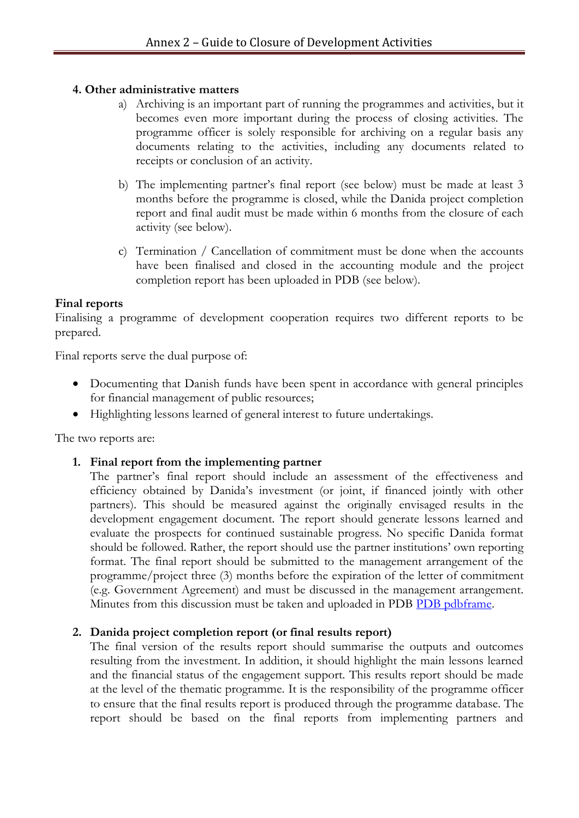### **4. Other administrative matters**

- a) Archiving is an important part of running the programmes and activities, but it becomes even more important during the process of closing activities. The programme officer is solely responsible for archiving on a regular basis any documents relating to the activities, including any documents related to receipts or conclusion of an activity.
- b) The implementing partner's final report (see below) must be made at least 3 months before the programme is closed, while the Danida project completion report and final audit must be made within 6 months from the closure of each activity (see below).
- c) Termination / Cancellation of commitment must be done when the accounts have been finalised and closed in the accounting module and the project completion report has been uploaded in PDB (see below).

## **Final reports**

Finalising a programme of development cooperation requires two different reports to be prepared.

Final reports serve the dual purpose of:

- Documenting that Danish funds have been spent in accordance with general principles for financial management of public resources;
- Highlighting lessons learned of general interest to future undertakings.

The two reports are:

# **1. Final report from the implementing partner**

The partner's final report should include an assessment of the effectiveness and efficiency obtained by Danida's investment (or joint, if financed jointly with other partners). This should be measured against the originally envisaged results in the development engagement document. The report should generate lessons learned and evaluate the prospects for continued sustainable progress. No specific Danida format should be followed. Rather, the report should use the partner institutions' own reporting format. The final report should be submitted to the management arrangement of the programme/project three (3) months before the expiration of the letter of commitment (e.g. Government Agreement) and must be discussed in the management arrangement. Minutes from this discussion must be taken and uploaded in PDB [PDB pdbframe.](http://pdbprod.um.dk/)

# **2. Danida project completion report (or final results report)**

The final version of the results report should summarise the outputs and outcomes resulting from the investment. In addition, it should highlight the main lessons learned and the financial status of the engagement support. This results report should be made at the level of the thematic programme. It is the responsibility of the programme officer to ensure that the final results report is produced through the programme database. The report should be based on the final reports from implementing partners and